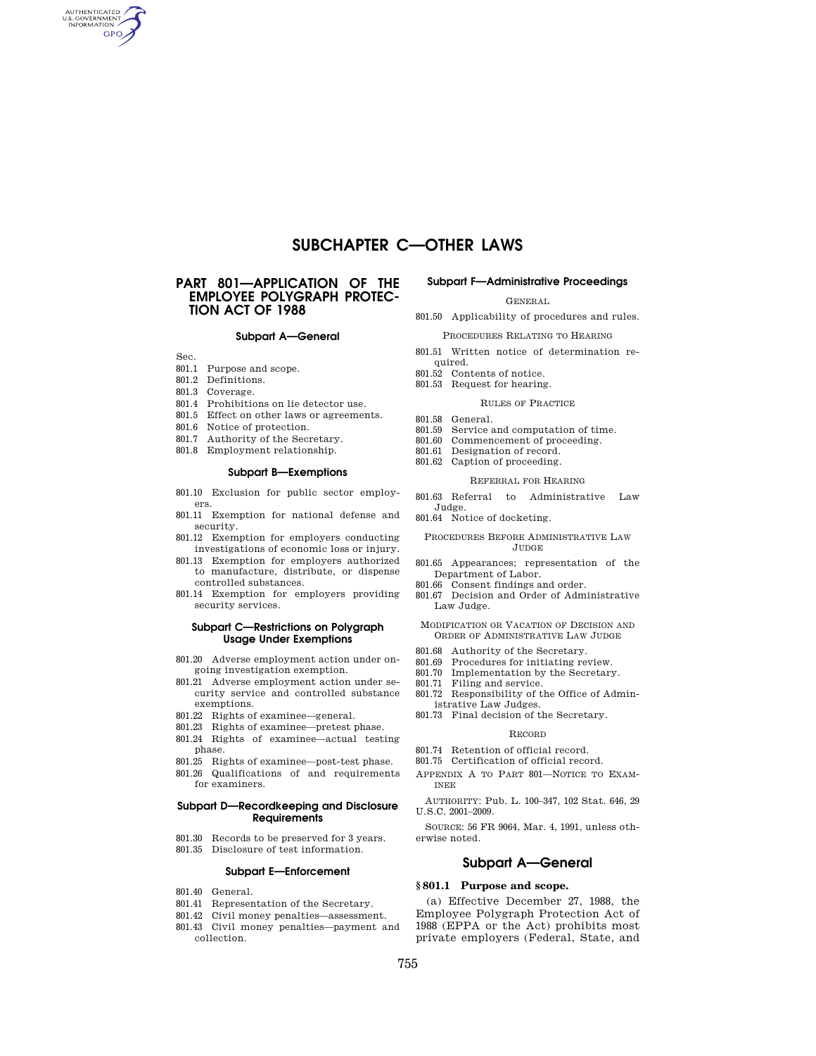# **SUBCHAPTER C—OTHER LAWS**

# **PART 801—APPLICATION OF THE EMPLOYEE POLYGRAPH PROTEC-TION ACT OF 1988**

# **Subpart A—General**

Sec.

AUTHENTICATED<br>U.S. GOVERNMENT<br>INFORMATION **GPO** 

- 801.1 Purpose and scope.
- 801.2 Definitions.
- 801.3 Coverage.
- 801.4 Prohibitions on lie detector use.
- 801.5 Effect on other laws or agreements.
- 801.6 Notice of protection.
- 801.7 Authority of the Secretary.
- 801.8 Employment relationship.
- 

# **Subpart B—Exemptions**

- 801.10 Exclusion for public sector employers.
- 801.11 Exemption for national defense and security.
- 801.12 Exemption for employers conducting investigations of economic loss or injury.
- 801.13 Exemption for employers authorized to manufacture, distribute, or dispense controlled substances.
- 801.14 Exemption for employers providing security services.

# **Subpart C—Restrictions on Polygraph Usage Under Exemptions**

- 801.20 Adverse employment action under ongoing investigation exemption.
- 801.21 Adverse employment action under security service and controlled substance exemptions.
- 801.22 Rights of examinee—general.
- 801.23 Rights of examinee—pretest phase.
- 801.24 Rights of examinee—actual testing phase.
- 801.25 Rights of examinee—post-test phase.
- 801.26 Qualifications of and requirements for examiners.

# **Subpart D—Recordkeeping and Disclosure Requirements**

- 801.30 Records to be preserved for 3 years.
- 801.35 Disclosure of test information.

# **Subpart E—Enforcement**

- 801.40 General.
- 801.41 Representation of the Secretary.
- 801.42 Civil money penalties—assessment.
- 801.43 Civil money penalties—payment and collection.

#### **Subpart F—Administrative Proceedings**

GENERAL

801.50 Applicability of procedures and rules.

PROCEDURES RELATING TO HEARING

- 801.51 Written notice of determination required.
- 801.52 Contents of notice.
- 801.53 Request for hearing.
	- RULES OF PRACTICE
- 
- 801.58 General.<br>801.59 Service a Service and computation of time.
- 801.60 Commencement of proceeding.
- 801.61 Designation of record.
- 801.62 Caption of proceeding.

# REFERRAL FOR HEARING

801.63 Referral to Administrative Law Judge.

801.64 Notice of docketing.

#### PROCEDURES BEFORE ADMINISTRATIVE LAW JUDGE

- 801.65 Appearances; representation of the Department of Labor.
- 801.66 Consent findings and order.
- 801.67 Decision and Order of Administrative Law Judge.

MODIFICATION OR VACATION OF DECISION AND ORDER OF ADMINISTRATIVE LAW JUDGE

- 801.68 Authority of the Secretary.<br>801.69 Procedures for initiating re
- Procedures for initiating review.
- 801.70 Implementation by the Secretary. 801.71 Filing and service.
- 801.72 Responsibility of the Office of Administrative Law Judges.
- 801.73 Final decision of the Secretary.

#### RECORD

- 801.74 Retention of official record.
- 801.75 Certification of official record.
- APPENDIX A TO PART 801—NOTICE TO EXAM-INEE

AUTHORITY: Pub. L. 100–347, 102 Stat. 646, 29 U.S.C. 2001–2009.

SOURCE: 56 FR 9064, Mar. 4, 1991, unless otherwise noted.

# **Subpart A—General**

# **§ 801.1 Purpose and scope.**

(a) Effective December 27, 1988, the Employee Polygraph Protection Act of 1988 (EPPA or the Act) prohibits most private employers (Federal, State, and